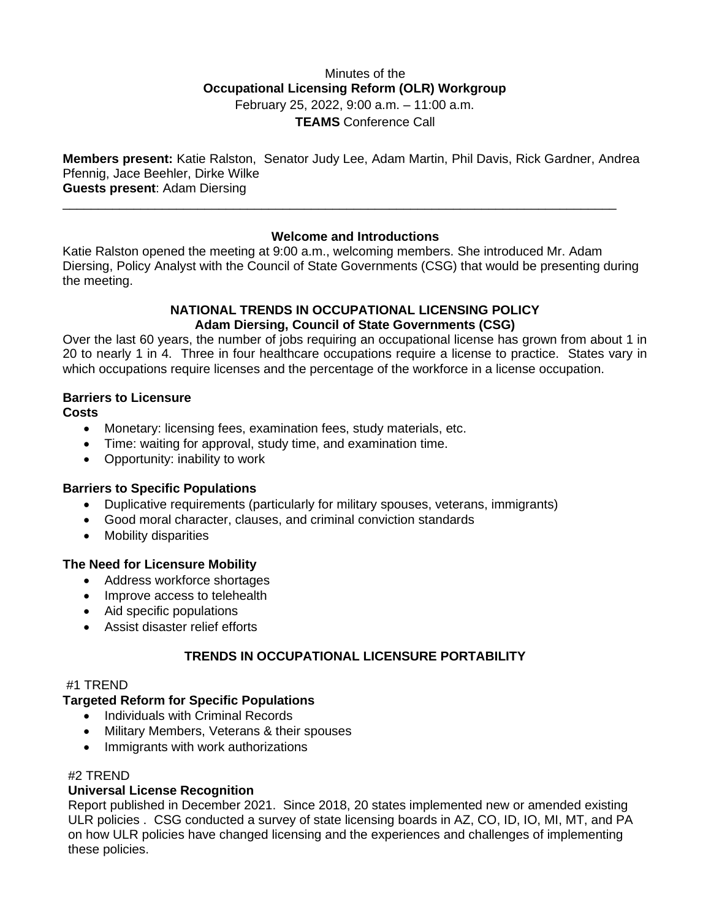# Minutes of the **Occupational Licensing Reform (OLR) Workgroup** February 25, 2022, 9:00 a.m. – 11:00 a.m. **TEAMS** Conference Call

**Members present:** Katie Ralston, Senator Judy Lee, Adam Martin, Phil Davis, Rick Gardner, Andrea Pfennig, Jace Beehler, Dirke Wilke **Guests present**: Adam Diersing

\_\_\_\_\_\_\_\_\_\_\_\_\_\_\_\_\_\_\_\_\_\_\_\_\_\_\_\_\_\_\_\_\_\_\_\_\_\_\_\_\_\_\_\_\_\_\_\_\_\_\_\_\_\_\_\_\_\_\_\_\_\_\_\_\_\_\_\_\_\_\_\_\_\_\_\_\_\_

# **Welcome and Introductions**

Katie Ralston opened the meeting at 9:00 a.m., welcoming members. She introduced Mr. Adam Diersing, Policy Analyst with the Council of State Governments (CSG) that would be presenting during the meeting.

#### **NATIONAL TRENDS IN OCCUPATIONAL LICENSING POLICY Adam Diersing, Council of State Governments (CSG)**

Over the last 60 years, the number of jobs requiring an occupational license has grown from about 1 in 20 to nearly 1 in 4. Three in four healthcare occupations require a license to practice. States vary in which occupations require licenses and the percentage of the workforce in a license occupation.

# **Barriers to Licensure**

**Costs**

- Monetary: licensing fees, examination fees, study materials, etc.
- Time: waiting for approval, study time, and examination time.
- Opportunity: inability to work

#### **Barriers to Specific Populations**

- Duplicative requirements (particularly for military spouses, veterans, immigrants)
- Good moral character, clauses, and criminal conviction standards
- Mobility disparities

#### **The Need for Licensure Mobility**

- Address workforce shortages
- Improve access to telehealth
- Aid specific populations
- Assist disaster relief efforts

# **TRENDS IN OCCUPATIONAL LICENSURE PORTABILITY**

#### #1 TREND

# **Targeted Reform for Specific Populations**

- Individuals with Criminal Records
- Military Members, Veterans & their spouses
- Immigrants with work authorizations

#### #2 TREND

# **Universal License Recognition**

Report published in December 2021. Since 2018, 20 states implemented new or amended existing ULR policies . CSG conducted a survey of state licensing boards in AZ, CO, ID, IO, MI, MT, and PA on how ULR policies have changed licensing and the experiences and challenges of implementing these policies.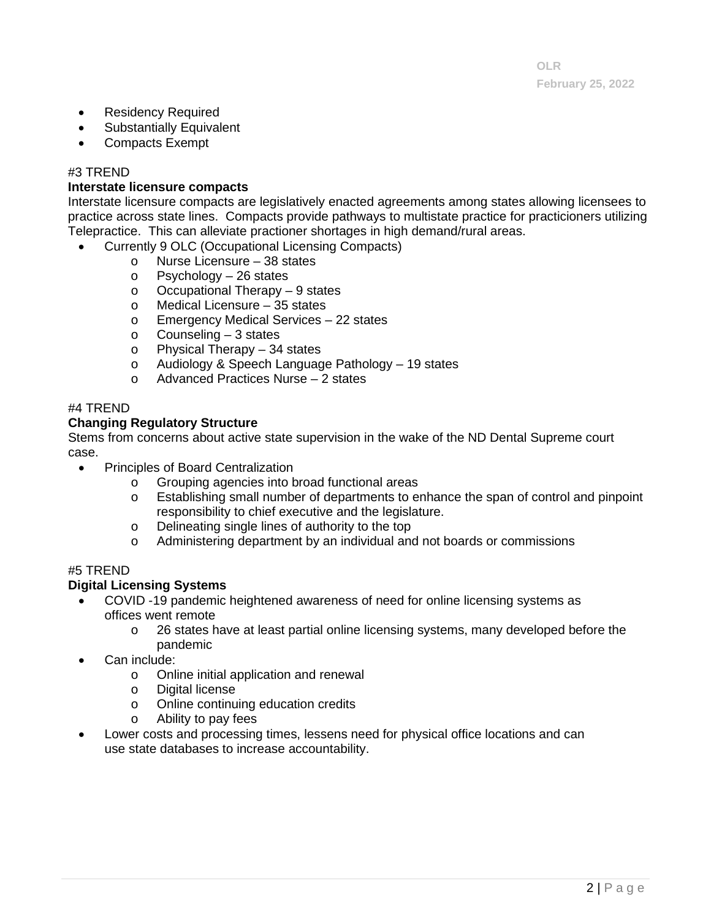- Residency Required
- Substantially Equivalent
- Compacts Exempt

### #3 TREND

#### **Interstate licensure compacts**

Interstate licensure compacts are legislatively enacted agreements among states allowing licensees to practice across state lines. Compacts provide pathways to multistate practice for practicioners utilizing Telepractice. This can alleviate practioner shortages in high demand/rural areas.

- Currently 9 OLC (Occupational Licensing Compacts)
	- o Nurse Licensure 38 states<br>
	o Psychology 26 states
		- $P$ sychology 26 states
	- o Occupational Therapy 9 states<br>○ Medical Licensure 35 states
	- Medical Licensure  $-35$  states
	- o Emergency Medical Services 22 states
	- o Counseling 3 states
	- o Physical Therapy 34 states
	- o Audiology & Speech Language Pathology 19 states
	- o Advanced Practices Nurse 2 states

#### #4 TREND

#### **Changing Regulatory Structure**

Stems from concerns about active state supervision in the wake of the ND Dental Supreme court case.

- Principles of Board Centralization
	- o Grouping agencies into broad functional areas<br>
	o Establishing small number of departments to en
	- Establishing small number of departments to enhance the span of control and pinpoint responsibility to chief executive and the legislature.
	- o Delineating single lines of authority to the top
	- o Administering department by an individual and not boards or commissions

#### #5 TREND

#### **Digital Licensing Systems**

- COVID -19 pandemic heightened awareness of need for online licensing systems as offices went remote
	- o 26 states have at least partial online licensing systems, many developed before the pandemic
- Can include:
	- o Online initial application and renewal<br>o Digital license
	- o Digital license<br>
	o Online continu
	- o Online continuing education credits<br>
	o Ability to pay fees
	- Ability to pay fees
- Lower costs and processing times, lessens need for physical office locations and can use state databases to increase accountability.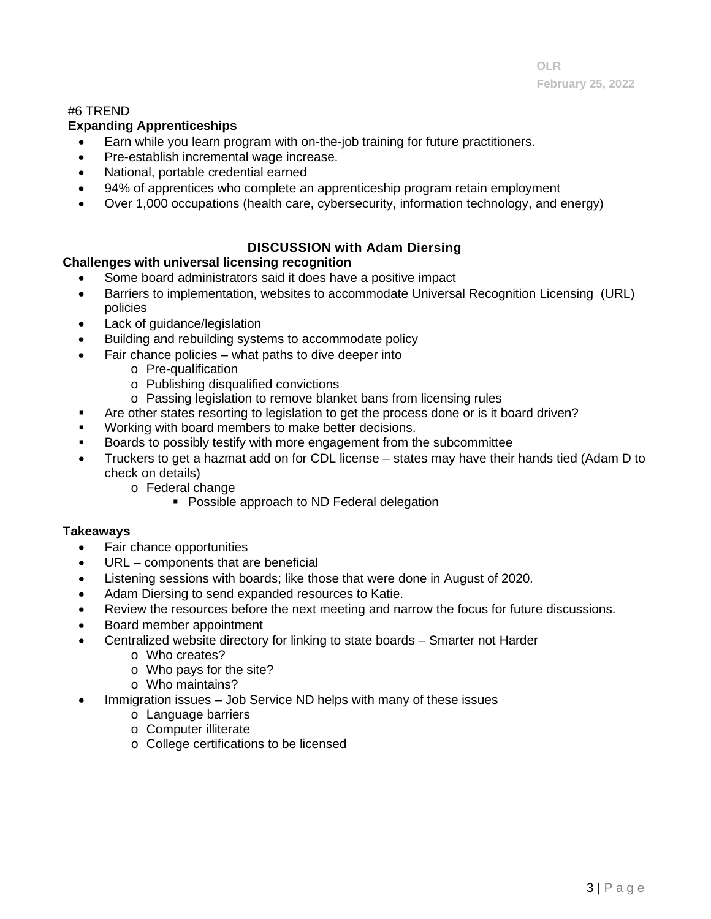### #6 TREND

### **Expanding Apprenticeships**

- Earn while you learn program with on-the-job training for future practitioners.
- Pre-establish incremental wage increase.
- National, portable credential earned
- 94% of apprentices who complete an apprenticeship program retain employment
- Over 1,000 occupations (health care, cybersecurity, information technology, and energy)

# **DISCUSSION with Adam Diersing**

### **Challenges with universal licensing recognition**

- Some board administrators said it does have a positive impact
- Barriers to implementation, websites to accommodate Universal Recognition Licensing (URL) policies
- Lack of guidance/legislation
- Building and rebuilding systems to accommodate policy
- Fair chance policies what paths to dive deeper into
	- o Pre-qualification
	- o Publishing disqualified convictions
	- o Passing legislation to remove blanket bans from licensing rules
- Are other states resorting to legislation to get the process done or is it board driven?
- Working with board members to make better decisions.
- Boards to possibly testify with more engagement from the subcommittee
- Truckers to get a hazmat add on for CDL license states may have their hands tied (Adam D to check on details)
	- o Federal change
		- Possible approach to ND Federal delegation

### **Takeaways**

- Fair chance opportunities
- URL components that are beneficial
- Listening sessions with boards; like those that were done in August of 2020.
- Adam Diersing to send expanded resources to Katie.
- Review the resources before the next meeting and narrow the focus for future discussions.
- Board member appointment
- Centralized website directory for linking to state boards Smarter not Harder
	- o Who creates?
	- o Who pays for the site?
	- o Who maintains?
- Immigration issues Job Service ND helps with many of these issues
	- o Language barriers
	- o Computer illiterate
	- o College certifications to be licensed